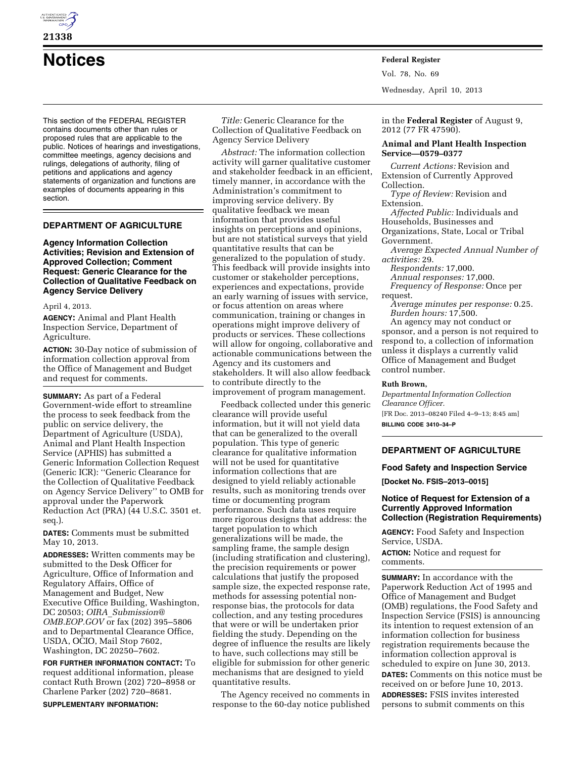

This section of the FEDERAL REGISTER contains documents other than rules or proposed rules that are applicable to the public. Notices of hearings and investigations, committee meetings, agency decisions and rulings, delegations of authority, filing of petitions and applications and agency statements of organization and functions are examples of documents appearing in this section.

# **DEPARTMENT OF AGRICULTURE**

## **Agency Information Collection Activities; Revision and Extension of Approved Collection; Comment Request: Generic Clearance for the Collection of Qualitative Feedback on Agency Service Delivery**

#### April 4, 2013.

**AGENCY:** Animal and Plant Health Inspection Service, Department of Agriculture.

**ACTION:** 30-Day notice of submission of information collection approval from the Office of Management and Budget and request for comments.

**SUMMARY:** As part of a Federal Government-wide effort to streamline the process to seek feedback from the public on service delivery, the Department of Agriculture (USDA), Animal and Plant Health Inspection Service (APHIS) has submitted a Generic Information Collection Request (Generic ICR): ''Generic Clearance for the Collection of Qualitative Feedback on Agency Service Delivery'' to OMB for approval under the Paperwork Reduction Act (PRA) (44 U.S.C. 3501 et. seq.).

**DATES:** Comments must be submitted May 10, 2013.

**ADDRESSES:** Written comments may be submitted to the Desk Officer for Agriculture, Office of Information and Regulatory Affairs, Office of Management and Budget, New Executive Office Building, Washington, DC 20503; *OIRA*\_*[Submission@](mailto:OIRA_Submission@OMB.EOP.GOV) [OMB.EOP.GOV](mailto:OIRA_Submission@OMB.EOP.GOV)* or fax (202) 395–5806 and to Departmental Clearance Office, USDA, OCIO, Mail Stop 7602, Washington, DC 20250–7602.

**FOR FURTHER INFORMATION CONTACT:** To request additional information, please contact Ruth Brown (202) 720–8958 or Charlene Parker (202) 720–8681.

**SUPPLEMENTARY INFORMATION:** 

*Title:* Generic Clearance for the Collection of Qualitative Feedback on Agency Service Delivery

*Abstract:* The information collection activity will garner qualitative customer and stakeholder feedback in an efficient, timely manner, in accordance with the Administration's commitment to improving service delivery. By qualitative feedback we mean information that provides useful insights on perceptions and opinions, but are not statistical surveys that yield quantitative results that can be generalized to the population of study. This feedback will provide insights into customer or stakeholder perceptions, experiences and expectations, provide an early warning of issues with service, or focus attention on areas where communication, training or changes in operations might improve delivery of products or services. These collections will allow for ongoing, collaborative and actionable communications between the Agency and its customers and stakeholders. It will also allow feedback to contribute directly to the improvement of program management.

Feedback collected under this generic clearance will provide useful information, but it will not yield data that can be generalized to the overall population. This type of generic clearance for qualitative information will not be used for quantitative information collections that are designed to yield reliably actionable results, such as monitoring trends over time or documenting program performance. Such data uses require more rigorous designs that address: the target population to which generalizations will be made, the sampling frame, the sample design (including stratification and clustering), the precision requirements or power calculations that justify the proposed sample size, the expected response rate, methods for assessing potential nonresponse bias, the protocols for data collection, and any testing procedures that were or will be undertaken prior fielding the study. Depending on the degree of influence the results are likely to have, such collections may still be eligible for submission for other generic mechanisms that are designed to yield quantitative results.

The Agency received no comments in response to the 60-day notice published

**Notices Federal Register** Vol. 78, No. 69 Wednesday, April 10, 2013

> in the **Federal Register** of August 9, 2012 (77 FR 47590).

### **Animal and Plant Health Inspection Service—0579–0377**

*Current Actions:* Revision and Extension of Currently Approved Collection. *Type of Review:* Revision and Extension. *Affected Public:* Individuals and Households, Businesses and Organizations, State, Local or Tribal Government. *Average Expected Annual Number of activities:* 29. *Respondents:* 17,000. *Annual responses:* 17,000. *Frequency of Response:* Once per request.

*Average minutes per response:* 0.25. *Burden hours:* 17,500.

An agency may not conduct or sponsor, and a person is not required to respond to, a collection of information unless it displays a currently valid Office of Management and Budget control number.

## **Ruth Brown,**

*Departmental Information Collection Clearance Officer.*  [FR Doc. 2013–08240 Filed 4–9–13; 8:45 am] **BILLING CODE 3410–34–P** 

# **DEPARTMENT OF AGRICULTURE**

## **Food Safety and Inspection Service**

**[Docket No. FSIS–2013–0015]** 

#### **Notice of Request for Extension of a Currently Approved Information Collection (Registration Requirements)**

**AGENCY:** Food Safety and Inspection Service, USDA.

**ACTION:** Notice and request for comments.

**SUMMARY:** In accordance with the Paperwork Reduction Act of 1995 and Office of Management and Budget (OMB) regulations, the Food Safety and Inspection Service (FSIS) is announcing its intention to request extension of an information collection for business registration requirements because the information collection approval is scheduled to expire on June 30, 2013. **DATES:** Comments on this notice must be received on or before June 10, 2013. **ADDRESSES:** FSIS invites interested persons to submit comments on this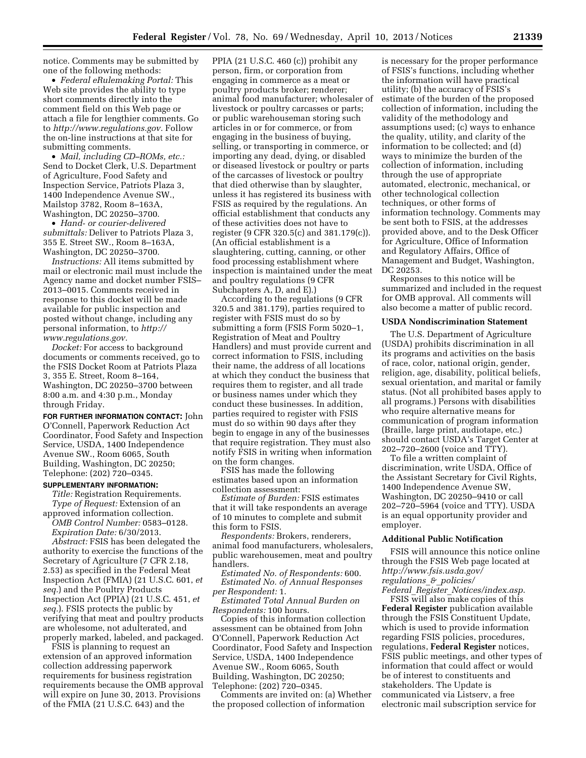notice. Comments may be submitted by one of the following methods:

• *Federal eRulemaking Portal:* This Web site provides the ability to type short comments directly into the comment field on this Web page or attach a file for lengthier comments. Go to *[http://www.regulations.gov.](http://www.regulations.gov)* Follow the on-line instructions at that site for submitting comments.

• *Mail, including CD–ROMs, etc.:*  Send to Docket Clerk, U.S. Department of Agriculture, Food Safety and Inspection Service, Patriots Plaza 3, 1400 Independence Avenue SW., Mailstop 3782, Room 8–163A, Washington, DC 20250–3700.

• *Hand- or courier-delivered submittals:* Deliver to Patriots Plaza 3, 355 E. Street SW., Room 8–163A, Washington, DC 20250–3700.

*Instructions:* All items submitted by mail or electronic mail must include the Agency name and docket number FSIS– 2013–0015. Comments received in response to this docket will be made available for public inspection and posted without change, including any personal information, to *[http://](http://www.regulations.gov)  [www.regulations.gov.](http://www.regulations.gov)* 

*Docket:* For access to background documents or comments received, go to the FSIS Docket Room at Patriots Plaza 3, 355 E. Street, Room 8–164, Washington, DC 20250–3700 between 8:00 a.m. and 4:30 p.m., Monday through Friday.

**FOR FURTHER INFORMATION CONTACT:** John O'Connell, Paperwork Reduction Act Coordinator, Food Safety and Inspection Service, USDA, 1400 Independence Avenue SW., Room 6065, South Building, Washington, DC 20250; Telephone: (202) 720–0345.

#### **SUPPLEMENTARY INFORMATION:**

*Title:* Registration Requirements. *Type of Request:* Extension of an approved information collection.

*OMB Control Number:* 0583–0128. *Expiration Date:* 6/30/2013.

*Abstract:* FSIS has been delegated the authority to exercise the functions of the Secretary of Agriculture (7 CFR 2.18, 2.53) as specified in the Federal Meat Inspection Act (FMIA) (21 U.S.C. 601, *et seq.*) and the Poultry Products Inspection Act (PPIA) (21 U.S.C. 451, *et seq.*). FSIS protects the public by verifying that meat and poultry products are wholesome, not adulterated, and properly marked, labeled, and packaged.

FSIS is planning to request an extension of an approved information collection addressing paperwork requirements for business registration requirements because the OMB approval will expire on June 30, 2013. Provisions of the FMIA (21 U.S.C. 643) and the

PPIA (21 U.S.C. 460 (c)) prohibit any person, firm, or corporation from engaging in commerce as a meat or poultry products broker; renderer; animal food manufacturer; wholesaler of livestock or poultry carcasses or parts; or public warehouseman storing such articles in or for commerce, or from engaging in the business of buying, selling, or transporting in commerce, or importing any dead, dying, or disabled or diseased livestock or poultry or parts of the carcasses of livestock or poultry that died otherwise than by slaughter, unless it has registered its business with FSIS as required by the regulations. An official establishment that conducts any of these activities does not have to register (9 CFR 320.5(c) and 381.179(c)). (An official establishment is a slaughtering, cutting, canning, or other food processing establishment where inspection is maintained under the meat and poultry regulations (9 CFR Subchapters A, D, and E).)

According to the regulations (9 CFR 320.5 and 381.179), parties required to register with FSIS must do so by submitting a form (FSIS Form 5020–1, Registration of Meat and Poultry Handlers) and must provide current and correct information to FSIS, including their name, the address of all locations at which they conduct the business that requires them to register, and all trade or business names under which they conduct these businesses. In addition, parties required to register with FSIS must do so within 90 days after they begin to engage in any of the businesses that require registration. They must also notify FSIS in writing when information on the form changes.

FSIS has made the following estimates based upon an information collection assessment:

*Estimate of Burden:* FSIS estimates that it will take respondents an average of 10 minutes to complete and submit this form to FSIS.

*Respondents:* Brokers, renderers, animal food manufacturers, wholesalers, public warehousemen, meat and poultry handlers.

*Estimated No. of Respondents:* 600. *Estimated No. of Annual Responses per Respondent:* 1.

*Estimated Total Annual Burden on Respondents:* 100 hours.

Copies of this information collection assessment can be obtained from John O'Connell, Paperwork Reduction Act Coordinator, Food Safety and Inspection Service, USDA, 1400 Independence Avenue SW., Room 6065, South Building, Washington, DC 20250; Telephone: (202) 720–0345.

Comments are invited on: (a) Whether the proposed collection of information

is necessary for the proper performance of FSIS's functions, including whether the information will have practical utility; (b) the accuracy of FSIS's estimate of the burden of the proposed collection of information, including the validity of the methodology and assumptions used; (c) ways to enhance the quality, utility, and clarity of the information to be collected; and (d) ways to minimize the burden of the collection of information, including through the use of appropriate automated, electronic, mechanical, or other technological collection techniques, or other forms of information technology. Comments may be sent both to FSIS, at the addresses provided above, and to the Desk Officer for Agriculture, Office of Information and Regulatory Affairs, Office of Management and Budget, Washington, DC 20253.

Responses to this notice will be summarized and included in the request for OMB approval. All comments will also become a matter of public record.

#### **USDA Nondiscrimination Statement**

The U.S. Department of Agriculture (USDA) prohibits discrimination in all its programs and activities on the basis of race, color, national origin, gender, religion, age, disability, political beliefs, sexual orientation, and marital or family status. (Not all prohibited bases apply to all programs.) Persons with disabilities who require alternative means for communication of program information (Braille, large print, audiotape, etc.) should contact USDA's Target Center at 202–720–2600 (voice and TTY).

To file a written complaint of discrimination, write USDA, Office of the Assistant Secretary for Civil Rights, 1400 Independence Avenue SW, Washington, DC 20250–9410 or call 202–720–5964 (voice and TTY). USDA is an equal opportunity provider and employer.

#### **Additional Public Notification**

FSIS will announce this notice online through the FSIS Web page located at *[http://www.fsis.usda.gov/](http://www.fsis.usda.gov/regulations_&_policies/Federal_Register_Notices/index.asp)  [regulations](http://www.fsis.usda.gov/regulations_&_policies/Federal_Register_Notices/index.asp)*\_*&*\_*policies/ Federal*\_*Register*\_*[Notices/index.asp](http://www.fsis.usda.gov/regulations_&_policies/Federal_Register_Notices/index.asp)*.

FSIS will also make copies of this **Federal Register** publication available through the FSIS Constituent Update, which is used to provide information regarding FSIS policies, procedures, regulations, **Federal Register** notices, FSIS public meetings, and other types of information that could affect or would be of interest to constituents and stakeholders. The Update is communicated via Listserv, a free electronic mail subscription service for